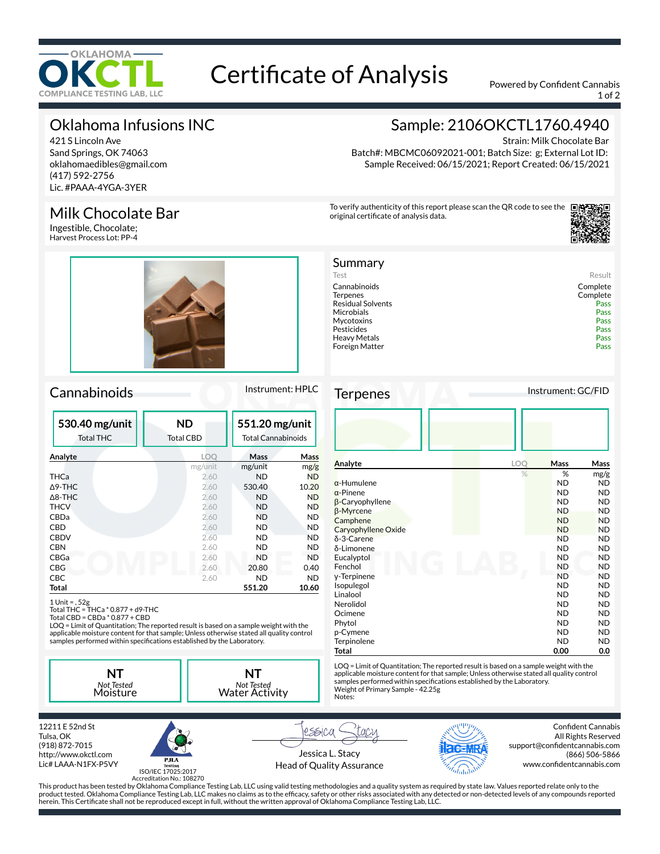

# Certificate of Analysis Powered by Confident Cannabis

1 of 2

Strain: Milk Chocolate Bar

Sample: 2106OKCTL1760.4940

Batch#: MBCMC06092021-001; Batch Size: g; External Lot ID: Sample Received: 06/15/2021; Report Created: 06/15/2021

To verify authenticity of this report please scan the QR code to see the

original certificate of analysis data.

Summary

Mycotoxins

Foreign Matter

# Oklahoma Infusions INC

421 S Lincoln Ave Sand Springs, OK 74063 oklahomaedibles@gmail.com (417) 592-2756 Lic. #PAAA-4YGA-3YER

## Milk Chocolate Bar

Ingestible, Chocolate; Harvest Process Lot: PP-4



## Cannabinoids Instrument: HPLC

| 530.40 mg/unit<br><b>Total THC</b> | <b>ND</b><br>Total CBD |           | 551.20 mg/unit<br><b>Total Cannabinoids</b> |
|------------------------------------|------------------------|-----------|---------------------------------------------|
| Analyte                            | LOO                    | Mass      | <b>Mass</b>                                 |
|                                    | mg/unit                | mg/unit   | mg/g                                        |
| THCa                               | 2.60                   | <b>ND</b> | <b>ND</b>                                   |
| $\Delta$ 9-THC                     | 2.60                   | 530.40    | 10.20                                       |
| $\Delta$ 8-THC                     | 2.60                   | <b>ND</b> | <b>ND</b>                                   |
| <b>THCV</b>                        | 2.60                   | <b>ND</b> | <b>ND</b>                                   |
| CBDa                               | 2.60                   | ND        | <b>ND</b>                                   |
| CBD                                | 2.60                   | <b>ND</b> | <b>ND</b>                                   |
| <b>CBDV</b>                        | 2.60                   | <b>ND</b> | <b>ND</b>                                   |
| <b>CBN</b>                         | 2.60                   | ND        | <b>ND</b>                                   |
| CBGa                               | 2.60                   | <b>ND</b> | <b>ND</b>                                   |
| <b>CBG</b>                         | 2.60                   | 20.80     | 0.40                                        |
| <b>CBC</b>                         | 2.60                   | <b>ND</b> | <b>ND</b>                                   |
| Total                              |                        | 551.20    | 10.60                                       |

1 Unit = , 52g Total THC = THCa \* 0.877 + d9-THC Total CBD = CBDa \* 0.877 + CBD

LOQ = Limit of Quantitation; The reported result is based on a sample weight with the applicable moisture content for that sample; Unless otherwise stated all quality control<br>samples performed within specifications established by the Laboratory.

**NT** *Not Tested* Moisture **NT** *Not Tested* Water Activity





ISO/IEC 17025:2017

Jessica L. Stacy



Confident Cannabis All Rights Reserved support@confidentcannabis.com (866) 506-5866 www.confidentcannabis.com

Pesticides Pass

Terpenes Instrument: GC/FID

| Analyte             | LOQ | <b>Mass</b> | Mass      |
|---------------------|-----|-------------|-----------|
|                     | %   | %           | mg/g      |
| α-Humulene          |     | <b>ND</b>   | ND.       |
| α-Pinene            |     | <b>ND</b>   | ND        |
| β-Caryophyllene     |     | <b>ND</b>   | <b>ND</b> |
| β-Myrcene           |     | <b>ND</b>   | ND        |
| Camphene            |     | <b>ND</b>   | ND        |
| Caryophyllene Oxide |     | <b>ND</b>   | ND        |
| $\delta$ -3-Carene  |     | <b>ND</b>   | ND.       |
| δ-Limonene          |     | <b>ND</b>   | ND        |
| Eucalyptol          |     | ND          | ND        |
| Fenchol             |     | <b>ND</b>   | ND        |
| y-Terpinene         |     | <b>ND</b>   | ND        |
| Isopulegol          |     | <b>ND</b>   | ND        |
| Linalool            |     | <b>ND</b>   | ND.       |
| Nerolidol           |     | <b>ND</b>   | ND        |
| Ocimene             |     | <b>ND</b>   | <b>ND</b> |
| Phytol              |     | <b>ND</b>   | ND.       |
| p-Cymene            |     | <b>ND</b>   | <b>ND</b> |
| Terpinolene         |     | <b>ND</b>   | ND        |
| Total               |     | 0.00        | 0.0       |

LOQ = Limit of Quantitation; The reported result is based on a sample weight with the applicable moisture content for that sample; Unless otherwise stated all quality control samples performed within specifications established by the Laboratory.<br>Weight of Primary Sample - 42.25g Notes:

Heavy Metals Pass<br>
Foreign Matter Pass

Test Result Cannabinoids Complete Residual Solvents<br>
Microbials<br>
Pass Pass Microbials Pass

Complete<br>Pass

Accreditation No.: 108270

Head of Quality Assurance

rssica

This product has been tested by Oklahoma Compliance Testing Lab, LLC using valid testing methodologies and a quality system as required by state law. Values reported relate only to the product tested. Oklahoma Compliance Testing Lab, LLC makes no claims as to the efcacy, safety or other risks associated with any detected or non-detected levels of any compounds reported herein. This Certificate shall not be reproduced except in full, without the written approval of Oklahoma Compliance Testing Lab, LLC.